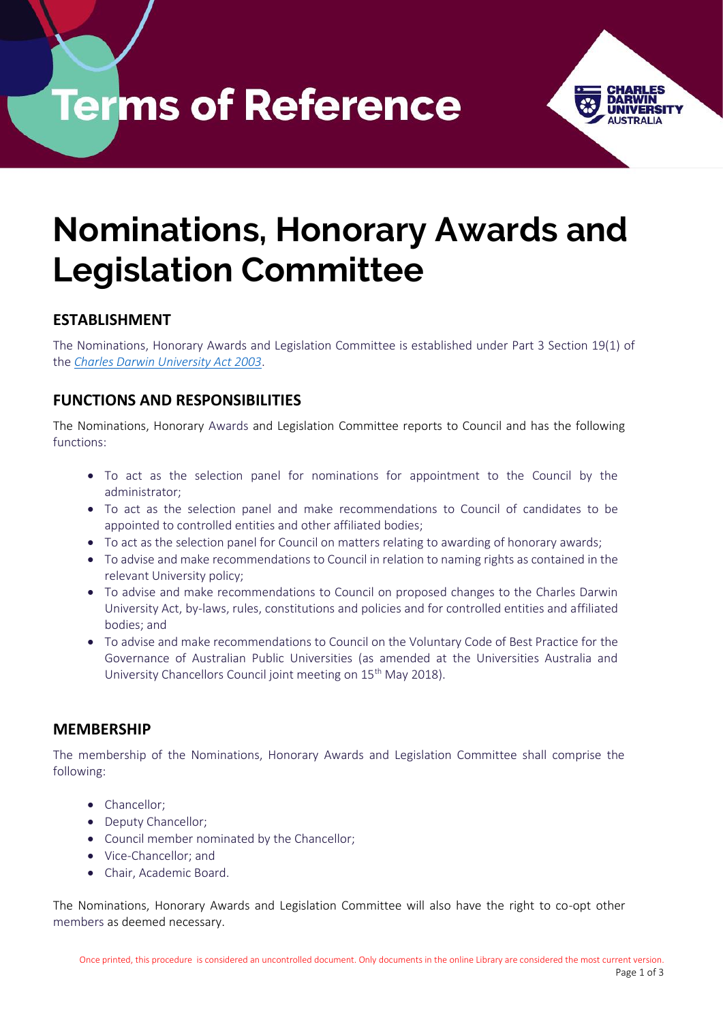**Terms of Reference** 



# **Nominations, Honorary Awards and Legislation Committee**

# **ESTABLISHMENT**

The Nominations, Honorary Awards and Legislation Committee is established under Part 3 Section 19(1) of the *[Charles Darwin University Act](https://legislation.nt.gov.au/en/Legislation/CHARLES-DARWIN-UNIVERSITY-ACT) 2003*.

# **FUNCTIONS AND RESPONSIBILITIES**

The Nominations, Honorary Awards and Legislation Committee reports to Council and has the following functions:

- To act as the selection panel for nominations for appointment to the Council by the administrator;
- To act as the selection panel and make recommendations to Council of candidates to be appointed to controlled entities and other affiliated bodies;
- To act as the selection panel for Council on matters relating to awarding of honorary awards;
- To advise and make recommendations to Council in relation to naming rights as contained in the relevant University policy;
- To advise and make recommendations to Council on proposed changes to the Charles Darwin University Act, by-laws, rules, constitutions and policies and for controlled entities and affiliated bodies; and
- To advise and make recommendations to Council on the Voluntary Code of Best Practice for the Governance of Australian Public Universities (as amended at the Universities Australia and University Chancellors Council joint meeting on 15<sup>th</sup> May 2018).

# **MEMBERSHIP**

The membership of the Nominations, Honorary Awards and Legislation Committee shall comprise the following:

- Chancellor;
- Deputy Chancellor;
- Council member nominated by the Chancellor;
- Vice-Chancellor; and
- Chair, Academic Board.

The Nominations, Honorary Awards and Legislation Committee will also have the right to co-opt other members as deemed necessary.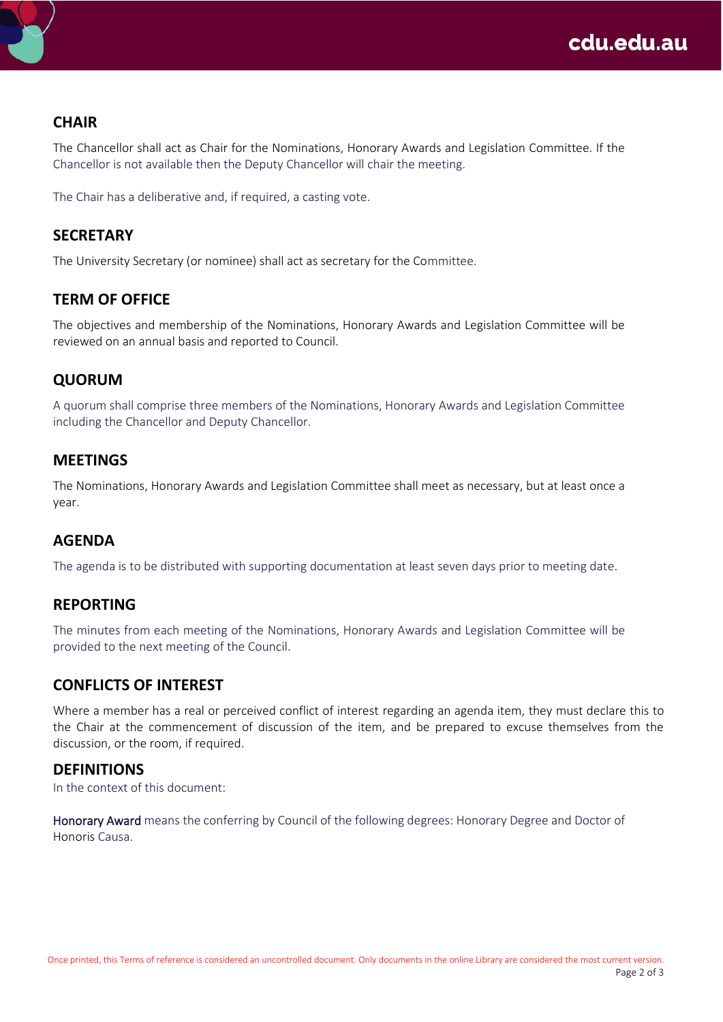# **CHAIR**

The Chancellor shall act as Chair for the Nominations, Honorary Awards and Legislation Committee. If the Chancellor is not available then the Deputy Chancellor will chair the meeting.

The Chair has a deliberative and, if required, a casting vote.

## **SECRETARY**

The University Secretary (or nominee) shall act as secretary for the Committee.

### **TERM OF OFFICE**

The objectives and membership of the Nominations, Honorary Awards and Legislation Committee will be reviewed on an annual basis and reported to Council.

# **QUORUM**

A quorum shall comprise three members of the Nominations, Honorary Awards and Legislation Committee including the Chancellor and Deputy Chancellor.

#### **MEETINGS**

The Nominations, Honorary Awards and Legislation Committee shall meet as necessary, but at least once a year.

#### **AGENDA**

The agenda is to be distributed with supporting documentation at least seven days prior to meeting date.

#### **REPORTING**

The minutes from each meeting of the Nominations, Honorary Awards and Legislation Committee will be provided to the next meeting of the Council.

#### **CONFLICTS OF INTEREST**

Where a member has a real or perceived conflict of interest regarding an agenda item, they must declare this to the Chair at the commencement of discussion of the item, and be prepared to excuse themselves from the discussion, or the room, if required.

#### **DEFINITIONS**

In the context of this document:

Honorary Award means the conferring by Council of the following degrees: Honorary Degree and Doctor of Honoris Causa.